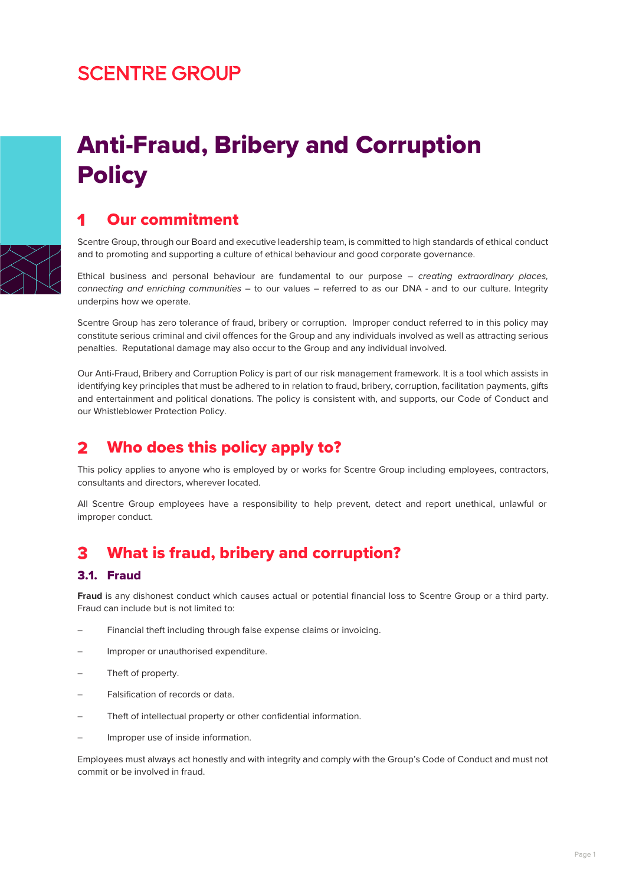# **SCENTRE GROUP**



# Anti-Fraud, Bribery and Corruption **Policy**

# Our commitment

Scentre Group, through our Board and executive leadership team, is committed to high standards of ethical conduct and to promoting and supporting a culture of ethical behaviour and good corporate governance.

Ethical business and personal behaviour are fundamental to our purpose – *creating extraordinary places, connecting and enriching communities* – to our values – referred to as our DNA - and to our culture. Integrity underpins how we operate.

Scentre Group has zero tolerance of fraud, bribery or corruption. Improper conduct referred to in this policy may constitute serious criminal and civil offences for the Group and any individuals involved as well as attracting serious penalties. Reputational damage may also occur to the Group and any individual involved.

Our Anti-Fraud, Bribery and Corruption Policy is part of our risk management framework. It is a tool which assists in identifying key principles that must be adhered to in relation to fraud, bribery, corruption, facilitation payments, gifts and entertainment and political donations. The policy is consistent with, and supports, our Code of Conduct and our Whistleblower Protection Policy.

### $\mathbf{z}$ Who does this policy apply to?

This policy applies to anyone who is employed by or works for Scentre Group including employees, contractors, consultants and directors, wherever located.

All Scentre Group employees have a responsibility to help prevent, detect and report unethical, unlawful or improper conduct.

### What is fraud, bribery and corruption? 3

# 3.1. Fraud

**Fraud** is any dishonest conduct which causes actual or potential financial loss to Scentre Group or a third party. Fraud can include but is not limited to:

- Financial theft including through false expense claims or invoicing.
- − Improper or unauthorised expenditure.
- Theft of property.
- − Falsification of records or data.
- Theft of intellectual property or other confidential information.
- Improper use of inside information.

Employees must always act honestly and with integrity and comply with the Group's Code of Conduct and must not commit or be involved in fraud.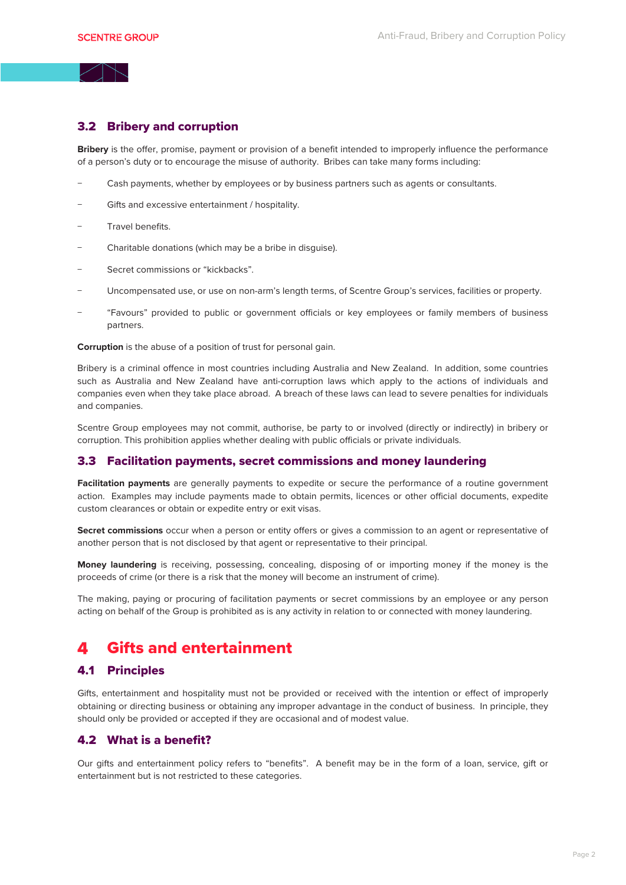# 3.2 Bribery and corruption

**Bribery** is the offer, promise, payment or provision of a benefit intended to improperly influence the performance of a person's duty or to encourage the misuse of authority. Bribes can take many forms including:

- Cash payments, whether by employees or by business partners such as agents or consultants.
- Gifts and excessive entertainment / hospitality.
- − Travel benefits.
- − Charitable donations (which may be a bribe in disguise).
- − Secret commissions or "kickbacks".
- − Uncompensated use, or use on non-arm's length terms, of Scentre Group's services, facilities or property.
- − "Favours" provided to public or government officials or key employees or family members of business partners.

**Corruption** is the abuse of a position of trust for personal gain.

Bribery is a criminal offence in most countries including Australia and New Zealand. In addition, some countries such as Australia and New Zealand have anti-corruption laws which apply to the actions of individuals and companies even when they take place abroad. A breach of these laws can lead to severe penalties for individuals and companies.

Scentre Group employees may not commit, authorise, be party to or involved (directly or indirectly) in bribery or corruption. This prohibition applies whether dealing with public officials or private individuals.

### 3.3 Facilitation payments, secret commissions and money laundering

**Facilitation payments** are generally payments to expedite or secure the performance of a routine government action. Examples may include payments made to obtain permits, licences or other official documents, expedite custom clearances or obtain or expedite entry or exit visas.

**Secret commissions** occur when a person or entity offers or gives a commission to an agent or representative of another person that is not disclosed by that agent or representative to their principal.

**Money laundering** is receiving, possessing, concealing, disposing of or importing money if the money is the proceeds of crime (or there is a risk that the money will become an instrument of crime).

The making, paying or procuring of facilitation payments or secret commissions by an employee or any person acting on behalf of the Group is prohibited as is any activity in relation to or connected with money laundering.

#### Gifts and entertainment  $\blacktriangle$

### 4.1 Principles

Gifts, entertainment and hospitality must not be provided or received with the intention or effect of improperly obtaining or directing business or obtaining any improper advantage in the conduct of business. In principle, they should only be provided or accepted if they are occasional and of modest value.

# 4.2 What is a benefit?

Our gifts and entertainment policy refers to "benefits". A benefit may be in the form of a loan, service, gift or entertainment but is not restricted to these categories.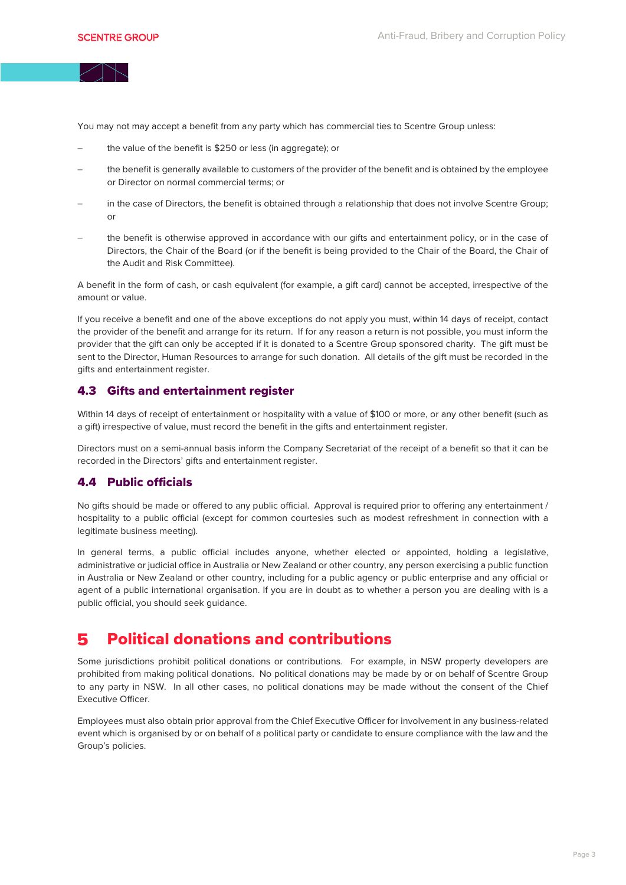You may not may accept a benefit from any party which has commercial ties to Scentre Group unless:

- the value of the benefit is \$250 or less (in aggregate); or
- the benefit is generally available to customers of the provider of the benefit and is obtained by the employee or Director on normal commercial terms; or
- in the case of Directors, the benefit is obtained through a relationship that does not involve Scentre Group; or
- the benefit is otherwise approved in accordance with our gifts and entertainment policy, or in the case of Directors, the Chair of the Board (or if the benefit is being provided to the Chair of the Board, the Chair of the Audit and Risk Committee).

A benefit in the form of cash, or cash equivalent (for example, a gift card) cannot be accepted, irrespective of the amount or value.

If you receive a benefit and one of the above exceptions do not apply you must, within 14 days of receipt, contact the provider of the benefit and arrange for its return. If for any reason a return is not possible, you must inform the provider that the gift can only be accepted if it is donated to a Scentre Group sponsored charity. The gift must be sent to the Director, Human Resources to arrange for such donation. All details of the gift must be recorded in the gifts and entertainment register.

# 4.3 Gifts and entertainment register

Within 14 days of receipt of entertainment or hospitality with a value of \$100 or more, or any other benefit (such as a gift) irrespective of value, must record the benefit in the gifts and entertainment register.

Directors must on a semi-annual basis inform the Company Secretariat of the receipt of a benefit so that it can be recorded in the Directors' gifts and entertainment register.

# 4.4 Public officials

No gifts should be made or offered to any public official. Approval is required prior to offering any entertainment / hospitality to a public official (except for common courtesies such as modest refreshment in connection with a legitimate business meeting).

In general terms, a public official includes anyone, whether elected or appointed, holding a legislative, administrative or judicial office in Australia or New Zealand or other country, any person exercising a public function in Australia or New Zealand or other country, including for a public agency or public enterprise and any official or agent of a public international organisation. If you are in doubt as to whether a person you are dealing with is a public official, you should seek guidance.

#### Political donations and contributions 5

Some jurisdictions prohibit political donations or contributions. For example, in NSW property developers are prohibited from making political donations. No political donations may be made by or on behalf of Scentre Group to any party in NSW. In all other cases, no political donations may be made without the consent of the Chief Executive Officer.

Employees must also obtain prior approval from the Chief Executive Officer for involvement in any business-related event which is organised by or on behalf of a political party or candidate to ensure compliance with the law and the Group's policies.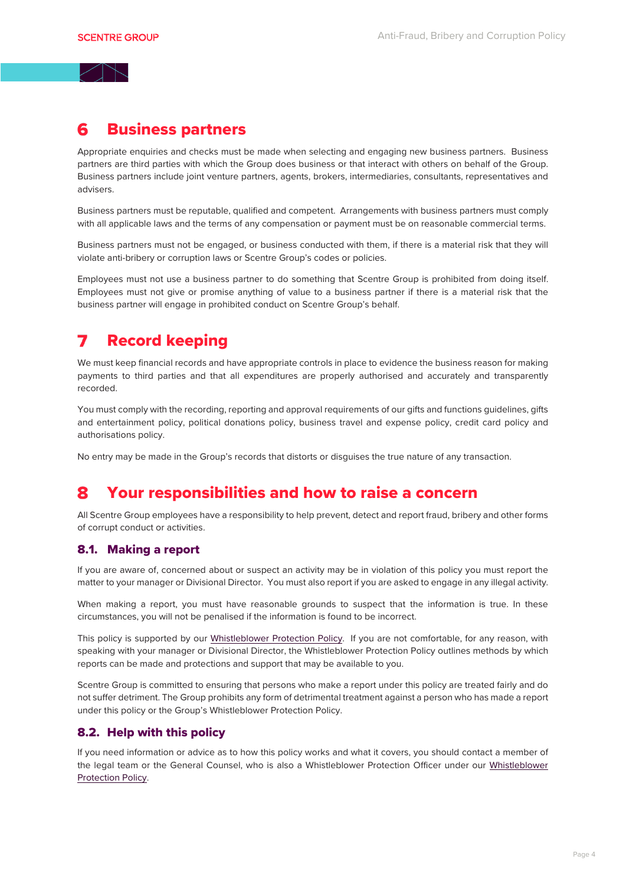# Business partners

Appropriate enquiries and checks must be made when selecting and engaging new business partners. Business partners are third parties with which the Group does business or that interact with others on behalf of the Group. Business partners include joint venture partners, agents, brokers, intermediaries, consultants, representatives and advisers.

Business partners must be reputable, qualified and competent. Arrangements with business partners must comply with all applicable laws and the terms of any compensation or payment must be on reasonable commercial terms.

Business partners must not be engaged, or business conducted with them, if there is a material risk that they will violate anti-bribery or corruption laws or Scentre Group's codes or policies.

Employees must not use a business partner to do something that Scentre Group is prohibited from doing itself. Employees must not give or promise anything of value to a business partner if there is a material risk that the business partner will engage in prohibited conduct on Scentre Group's behalf.

### Record keeping  $\overline{\phantom{a}}$

We must keep financial records and have appropriate controls in place to evidence the business reason for making payments to third parties and that all expenditures are properly authorised and accurately and transparently recorded.

You must comply with the recording, reporting and approval requirements of our gifts and functions guidelines, gifts and entertainment policy, political donations policy, business travel and expense policy, credit card policy and authorisations policy.

No entry may be made in the Group's records that distorts or disguises the true nature of any transaction.

### Your responsibilities and how to raise a concern R

All Scentre Group employees have a responsibility to help prevent, detect and report fraud, bribery and other forms of corrupt conduct or activities.

# 8.1. Making a report

If you are aware of, concerned about or suspect an activity may be in violation of this policy you must report the matter to your manager or Divisional Director. You must also report if you are asked to engage in any illegal activity.

When making a report, you must have reasonable grounds to suspect that the information is true. In these circumstances, you will not be penalised if the information is found to be incorrect.

This policy is supported by our [Whistleblower Protection Policy.](https://www.scentregroup.com/getmedia/ed7713ab-149c-4467-9f76-38e6ba0232d7/Whistleblower-Protection-Policy-Oct-2021) If you are not comfortable, for any reason, with speaking with your manager or Divisional Director, the Whistleblower Protection Policy outlines methods by which reports can be made and protections and support that may be available to you.

Scentre Group is committed to ensuring that persons who make a report under this policy are treated fairly and do not suffer detriment. The Group prohibits any form of detrimental treatment against a person who has made a report under this policy or the Group's Whistleblower Protection Policy.

# 8.2. Help with this policy

If you need information or advice as to how this policy works and what it covers, you should contact a member of the legal team or the General Counsel, who is also a Whistleblower Protection Officer under our [Whistleblower](https://www.scentregroup.com/getmedia/ed7713ab-149c-4467-9f76-38e6ba0232d7/Whistleblower-Protection-Policy-Oct-2021)  [Protection Policy.](https://www.scentregroup.com/getmedia/7e56d512-72a9-41f4-b765-9531289f3411/WhistleblowerPolicyDec182019.PDF)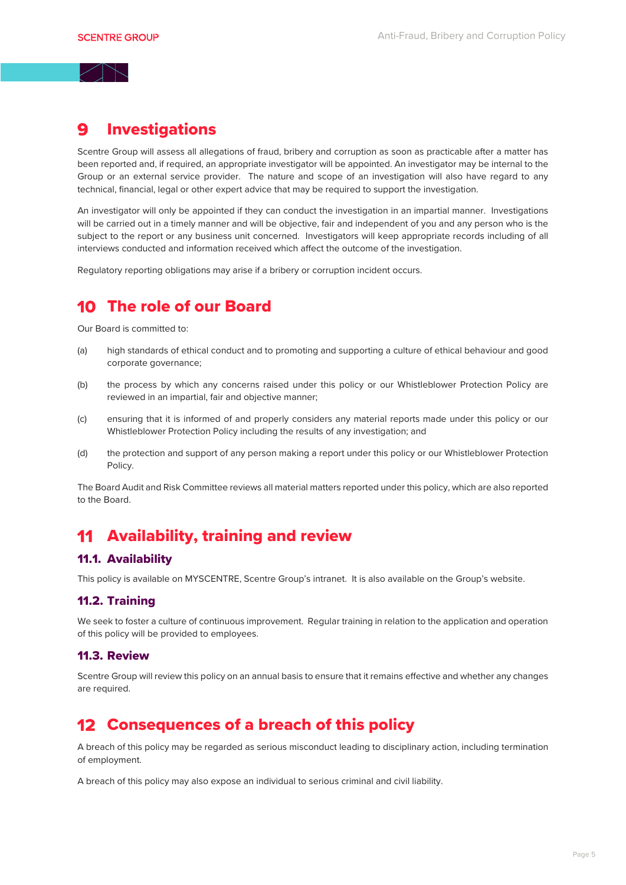#### Investigations 9

Scentre Group will assess all allegations of fraud, bribery and corruption as soon as practicable after a matter has been reported and, if required, an appropriate investigator will be appointed. An investigator may be internal to the Group or an external service provider. The nature and scope of an investigation will also have regard to any technical, financial, legal or other expert advice that may be required to support the investigation.

An investigator will only be appointed if they can conduct the investigation in an impartial manner. Investigations will be carried out in a timely manner and will be objective, fair and independent of you and any person who is the subject to the report or any business unit concerned. Investigators will keep appropriate records including of all interviews conducted and information received which affect the outcome of the investigation.

Regulatory reporting obligations may arise if a bribery or corruption incident occurs.

# 10 The role of our Board

Our Board is committed to:

- (a) high standards of ethical conduct and to promoting and supporting a culture of ethical behaviour and good corporate governance;
- (b) the process by which any concerns raised under this policy or our Whistleblower Protection Policy are reviewed in an impartial, fair and objective manner;
- (c) ensuring that it is informed of and properly considers any material reports made under this policy or our Whistleblower Protection Policy including the results of any investigation; and
- (d) the protection and support of any person making a report under this policy or our Whistleblower Protection Policy.

The Board Audit and Risk Committee reviews all material matters reported under this policy, which are also reported to the Board.

# 11 Availability, training and review

# 11.1. Availability

This policy is available on MYSCENTRE, Scentre Group's intranet. It is also available on the Group's website.

# 11.2. Training

We seek to foster a culture of continuous improvement. Regular training in relation to the application and operation of this policy will be provided to employees.

# 11.3. Review

Scentre Group will review this policy on an annual basis to ensure that it remains effective and whether any changes are required.

# 12 Consequences of a breach of this policy

A breach of this policy may be regarded as serious misconduct leading to disciplinary action, including termination of employment.

A breach of this policy may also expose an individual to serious criminal and civil liability.